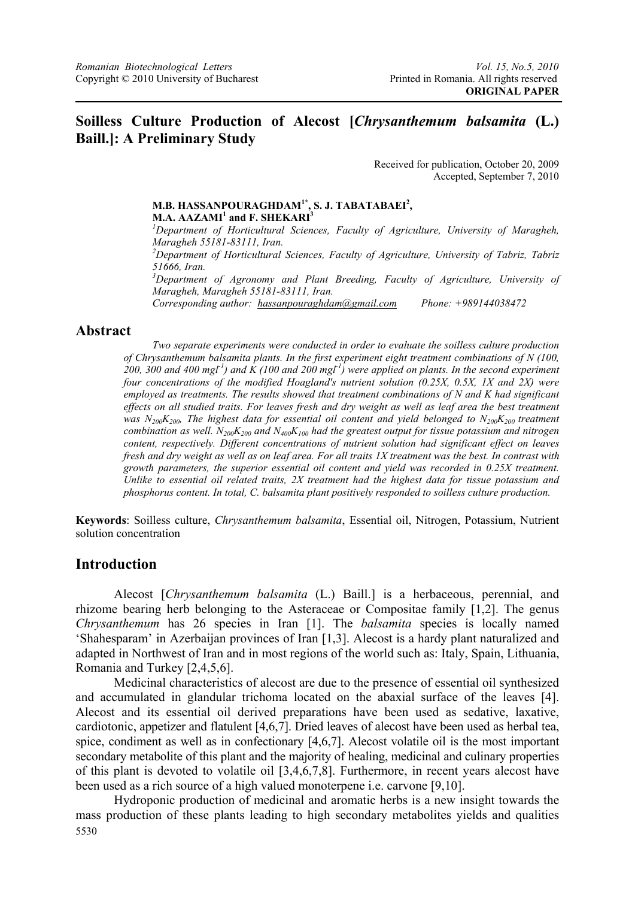## **Soilless Culture Production of Alecost [***Chrysanthemum balsamita* **(L.) Baill.]: A Preliminary Study**

Received for publication, October 20, 2009 Accepted, September 7, 2010

# **M.B. HASSANPOURAGHDAM1\*, S. J. TABATABAEI2 ,**

**M.A. AAZAMI<sup>1</sup> and F. SHEKARI<sup>3</sup><br>** *<sup>1</sup>Denaytment of Hertierlitural Science Department of Horticultural Sciences, Faculty of Agriculture, University of Maragheh, Maragheh 55181-83111, Iran.*  <sup>2</sup> Department of Horticultural Sciences, Faculty of Agriculture, University of Tabriz, Tabriz *51666, Iran.*  <sup>3</sup>Department of Agronomy and Plant Breeding, Faculty of Agriculture, University of *Maragheh, Maragheh 55181-83111, Iran. Corresponding author: hassanpouraghdam@gmail.com Phone: +989144038472* 

## **Abstract**

*Two separate experiments were conducted in order to evaluate the soilless culture production of Chrysanthemum balsamita plants. In the first experiment eight treatment combinations of N (100,*  200, 300 and 400 mgl<sup>-1</sup>) and K (100 and 200 mgl<sup>-1</sup>) were applied on plants. In the second experiment *four concentrations of the modified Hoagland's nutrient solution (0.25X, 0.5X, 1X and 2X) were employed as treatments. The results showed that treatment combinations of N and K had significant effects on all studied traits. For leaves fresh and dry weight as well as leaf area the best treatment*  was N<sub>200</sub>K<sub>200</sub>, The highest data for essential oil content and yield belonged to N<sub>200</sub>K<sub>200</sub> treatment *combination as well. N200K200 and N400K100 had the greatest output for tissue potassium and nitrogen content, respectively. Different concentrations of nutrient solution had significant effect on leaves fresh and dry weight as well as on leaf area. For all traits 1X treatment was the best. In contrast with growth parameters, the superior essential oil content and yield was recorded in 0.25X treatment. Unlike to essential oil related traits, 2X treatment had the highest data for tissue potassium and phosphorus content. In total, C. balsamita plant positively responded to soilless culture production.* 

**Keywords**: Soilless culture, *Chrysanthemum balsamita*, Essential oil, Nitrogen, Potassium, Nutrient solution concentration

## **Introduction**

 Alecost [*Chrysanthemum balsamita* (L.) Baill.] is a herbaceous, perennial, and rhizome bearing herb belonging to the Asteraceae or Compositae family [1,2]. The genus *Chrysanthemum* has 26 species in Iran [1]. The *balsamita* species is locally named 'Shahesparam' in Azerbaijan provinces of Iran [1,3]. Alecost is a hardy plant naturalized and adapted in Northwest of Iran and in most regions of the world such as: Italy, Spain, Lithuania, Romania and Turkey [2,4,5,6].

Medicinal characteristics of alecost are due to the presence of essential oil synthesized and accumulated in glandular trichoma located on the abaxial surface of the leaves [4]. Alecost and its essential oil derived preparations have been used as sedative, laxative, cardiotonic, appetizer and flatulent [4,6,7]. Dried leaves of alecost have been used as herbal tea, spice, condiment as well as in confectionary [4,6,7]. Alecost volatile oil is the most important secondary metabolite of this plant and the majority of healing, medicinal and culinary properties of this plant is devoted to volatile oil [3,4,6,7,8]. Furthermore, in recent years alecost have been used as a rich source of a high valued monoterpene i.e. carvone [9,10].

5530 Hydroponic production of medicinal and aromatic herbs is a new insight towards the mass production of these plants leading to high secondary metabolites yields and qualities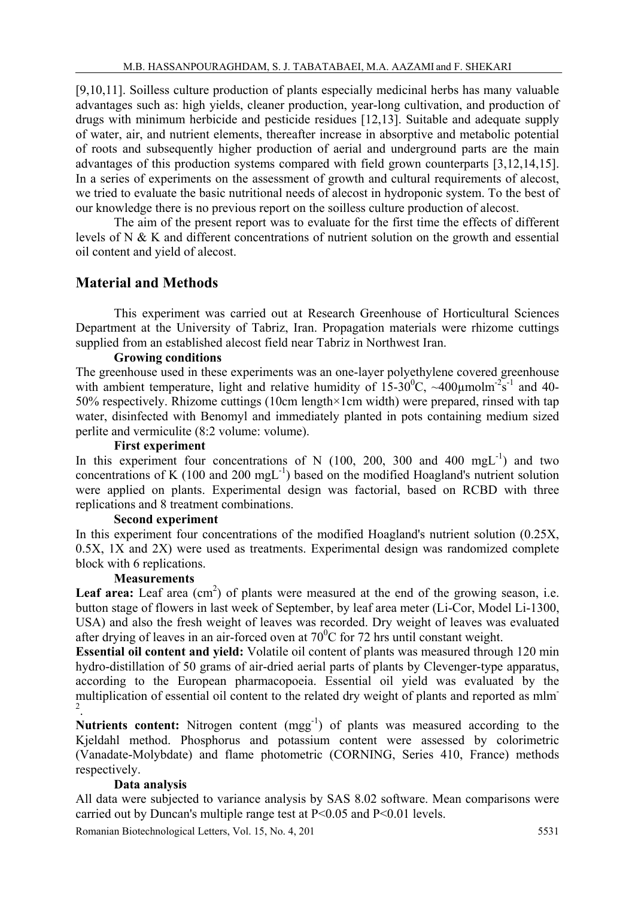[9,10,11]. Soilless culture production of plants especially medicinal herbs has many valuable advantages such as: high yields, cleaner production, year-long cultivation, and production of drugs with minimum herbicide and pesticide residues [12,13]. Suitable and adequate supply of water, air, and nutrient elements, thereafter increase in absorptive and metabolic potential of roots and subsequently higher production of aerial and underground parts are the main advantages of this production systems compared with field grown counterparts [3,12,14,15]. In a series of experiments on the assessment of growth and cultural requirements of alecost, we tried to evaluate the basic nutritional needs of alecost in hydroponic system. To the best of our knowledge there is no previous report on the soilless culture production of alecost.

The aim of the present report was to evaluate for the first time the effects of different levels of N & K and different concentrations of nutrient solution on the growth and essential oil content and yield of alecost.

# **Material and Methods**

This experiment was carried out at Research Greenhouse of Horticultural Sciences Department at the University of Tabriz, Iran. Propagation materials were rhizome cuttings supplied from an established alecost field near Tabriz in Northwest Iran.

### **Growing conditions**

The greenhouse used in these experiments was an one-layer polyethylene covered greenhouse with ambient temperature, light and relative humidity of  $15{\text -}30^0\text{C}$ , ~400 $\mu$ molm<sup>-2</sup>s<sup>-1</sup> and 40-50% respectively. Rhizome cuttings (10cm length×1cm width) were prepared, rinsed with tap water, disinfected with Benomyl and immediately planted in pots containing medium sized perlite and vermiculite (8:2 volume: volume).

#### **First experiment**

In this experiment four concentrations of N (100, 200, 300 and 400 mgL-1) and two concentrations of K (100 and 200 mgL $^{-1}$ ) based on the modified Hoagland's nutrient solution were applied on plants. Experimental design was factorial, based on RCBD with three replications and 8 treatment combinations.

#### **Second experiment**

In this experiment four concentrations of the modified Hoagland's nutrient solution (0.25X, 0.5X, 1X and 2X) were used as treatments. Experimental design was randomized complete block with 6 replications.

#### **Measurements**

**Leaf area:** Leaf area  $(cm<sup>2</sup>)$  of plants were measured at the end of the growing season, i.e. button stage of flowers in last week of September, by leaf area meter (Li-Cor, Model Li-1300, USA) and also the fresh weight of leaves was recorded. Dry weight of leaves was evaluated after drying of leaves in an air-forced oven at  $70^{\circ}$ C for 72 hrs until constant weight.

**Essential oil content and yield:** Volatile oil content of plants was measured through 120 min hydro-distillation of 50 grams of air-dried aerial parts of plants by Clevenger-type apparatus, according to the European pharmacopoeia. Essential oil yield was evaluated by the multiplication of essential oil content to the related dry weight of plants and reported as mlm-2 .

**Nutrients content:** Nitrogen content (mgg<sup>-1</sup>) of plants was measured according to the Kjeldahl method. Phosphorus and potassium content were assessed by colorimetric (Vanadate-Molybdate) and flame photometric (CORNING, Series 410, France) methods respectively.

#### **Data analysis**

All data were subjected to variance analysis by SAS 8.02 software. Mean comparisons were carried out by Duncan's multiple range test at  $P \le 0.05$  and  $P \le 0.01$  levels.

Romanian Biotechnological Letters, Vol. 15, No. 4, 201 5531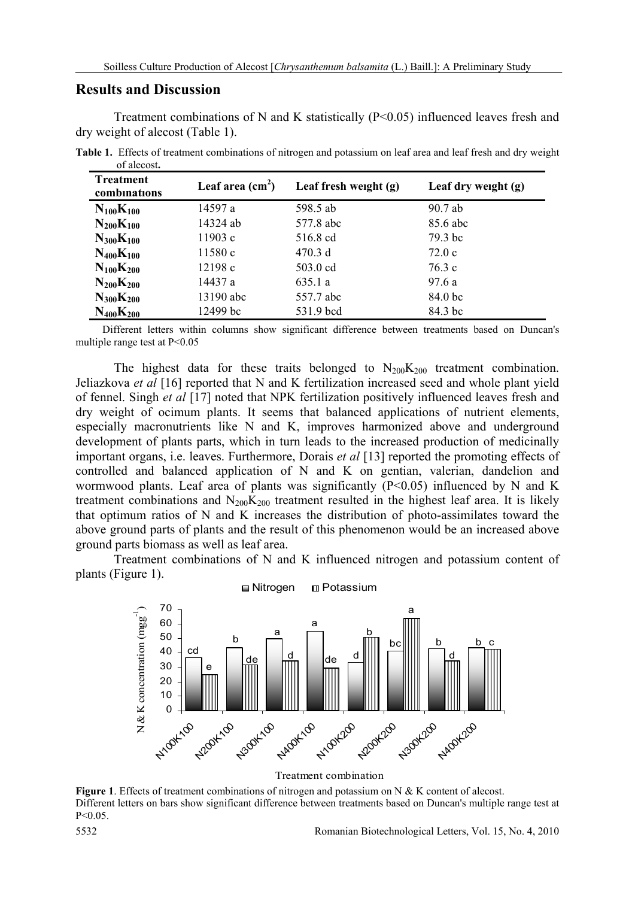#### **Results and Discussion**

Treatment combinations of N and K statistically (P<0.05) influenced leaves fresh and dry weight of alecost (Table 1).

**Table 1.** Effects of treatment combinations of nitrogen and potassium on leaf area and leaf fresh and dry weight of alecost**.** 

| <b>Treatment</b><br>combinations | Leaf area $(cm2)$ | Leaf fresh weight $(g)$ | Leaf dry weight $(g)$ |
|----------------------------------|-------------------|-------------------------|-----------------------|
| $N_{100}K_{100}$                 | 14597 a           | 598.5 ab                | 90.7 ab               |
| $N_{200}K_{100}$                 | 14324 ab          | 577.8 abc               | 85.6 abc              |
| $N_{300}K_{100}$                 | 11903c            | 516.8 cd                | 79.3 bc               |
| $N_{400}K_{100}$                 | 11580c            | 470.3 d                 | 72.0c                 |
| $N_{100}K_{200}$                 | 12198c            | 503.0 cd                | 76.3 c                |
| $N_{200}K_{200}$                 | 14437 a           | 635.1a                  | 97.6 a                |
| $N_{300}K_{200}$                 | 13190 abc         | 557.7 abc               | 84.0 bc               |
| $N_{400}K_{200}$                 | 12499 bc          | 531.9 bcd               | 84.3 bc               |

 Different letters within columns show significant difference between treatments based on Duncan's multiple range test at P<0.05

The highest data for these traits belonged to  $N_{200}K_{200}$  treatment combination. Jeliazkova *et al* [16] reported that N and K fertilization increased seed and whole plant yield of fennel. Singh *et al* [17] noted that NPK fertilization positively influenced leaves fresh and dry weight of ocimum plants. It seems that balanced applications of nutrient elements, especially macronutrients like N and K, improves harmonized above and underground development of plants parts, which in turn leads to the increased production of medicinally important organs, i.e. leaves. Furthermore, Dorais *et al* [13] reported the promoting effects of controlled and balanced application of N and K on gentian, valerian, dandelion and wormwood plants. Leaf area of plants was significantly  $(P<0.05)$  influenced by N and K treatment combinations and  $N_{200}K_{200}$  treatment resulted in the highest leaf area. It is likely that optimum ratios of N and K increases the distribution of photo-assimilates toward the above ground parts of plants and the result of this phenomenon would be an increased above ground parts biomass as well as leaf area.

Treatment combinations of N and K influenced nitrogen and potassium content of plants (Figure 1).



Treatment combination

**Figure 1**. Effects of treatment combinations of nitrogen and potassium on N & K content of alecost. Different letters on bars show significant difference between treatments based on Duncan's multiple range test at P<0.05.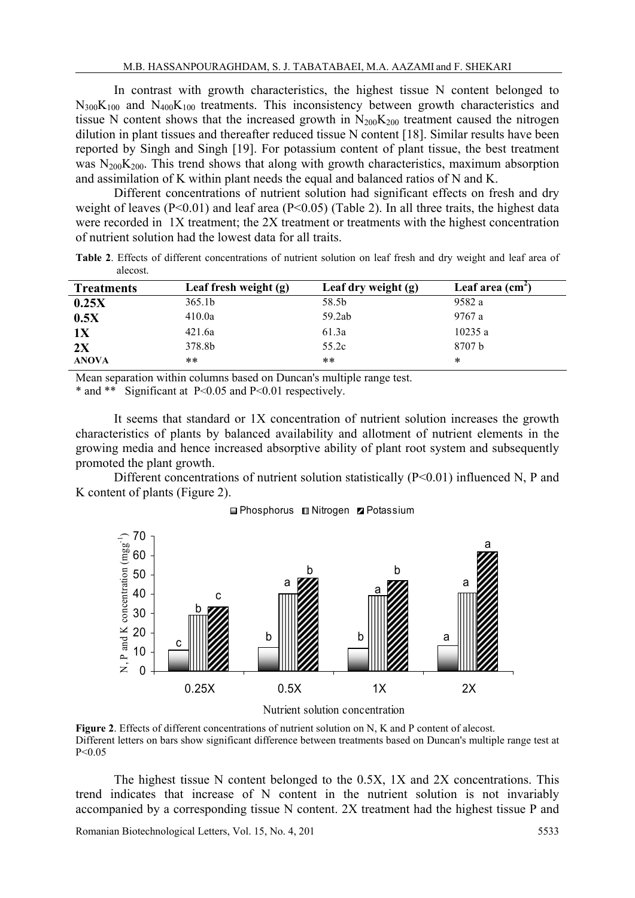In contrast with growth characteristics, the highest tissue N content belonged to  $N_{300}K_{100}$  and  $N_{400}K_{100}$  treatments. This inconsistency between growth characteristics and tissue N content shows that the increased growth in  $N_{200}K_{200}$  treatment caused the nitrogen dilution in plant tissues and thereafter reduced tissue N content [18]. Similar results have been reported by Singh and Singh [19]. For potassium content of plant tissue, the best treatment was  $N_{200}K_{200}$ . This trend shows that along with growth characteristics, maximum absorption and assimilation of K within plant needs the equal and balanced ratios of N and K.

Different concentrations of nutrient solution had significant effects on fresh and dry weight of leaves (P<0.01) and leaf area (P<0.05) (Table 2). In all three traits, the highest data were recorded in 1X treatment; the 2X treatment or treatments with the highest concentration of nutrient solution had the lowest data for all traits.

**Table 2**. Effects of different concentrations of nutrient solution on leaf fresh and dry weight and leaf area of alecost.

| <b>Treatments</b> | Leaf fresh weight (g) | Leaf dry weight (g) | Leaf area $(cm2)$ |
|-------------------|-----------------------|---------------------|-------------------|
| 0.25X             | 365.1b                | 58.5b               | 9582 a            |
| 0.5X              | 410.0a                | 59.2ab              | 9767 a            |
| 1X                | 421.6a                | 61.3a               | 10235a            |
| 2X                | 378.8b                | 55.2c               | 8707 b            |
| <b>ANOVA</b>      | **                    | **                  | $\ast$            |

Mean separation within columns based on Duncan's multiple range test.

\* and \*\* Significant at P<0.05 and P<0.01 respectively.

It seems that standard or 1X concentration of nutrient solution increases the growth characteristics of plants by balanced availability and allotment of nutrient elements in the growing media and hence increased absorptive ability of plant root system and subsequently promoted the plant growth.

Different concentrations of nutrient solution statistically  $(P<0.01)$  influenced N, P and K content of plants (Figure 2).



Phosphorus **III** Nitrogen **Z** Potassium

Nutrient solution concentration

**Figure 2.** Effects of different concentrations of nutrient solution on N, K and P content of alecost. Different letters on bars show significant difference between treatments based on Duncan's multiple range test at P<0.05

The highest tissue N content belonged to the 0.5X, 1X and 2X concentrations. This trend indicates that increase of N content in the nutrient solution is not invariably accompanied by a corresponding tissue N content. 2X treatment had the highest tissue P and

Romanian Biotechnological Letters, Vol. 15, No. 4, 201 5533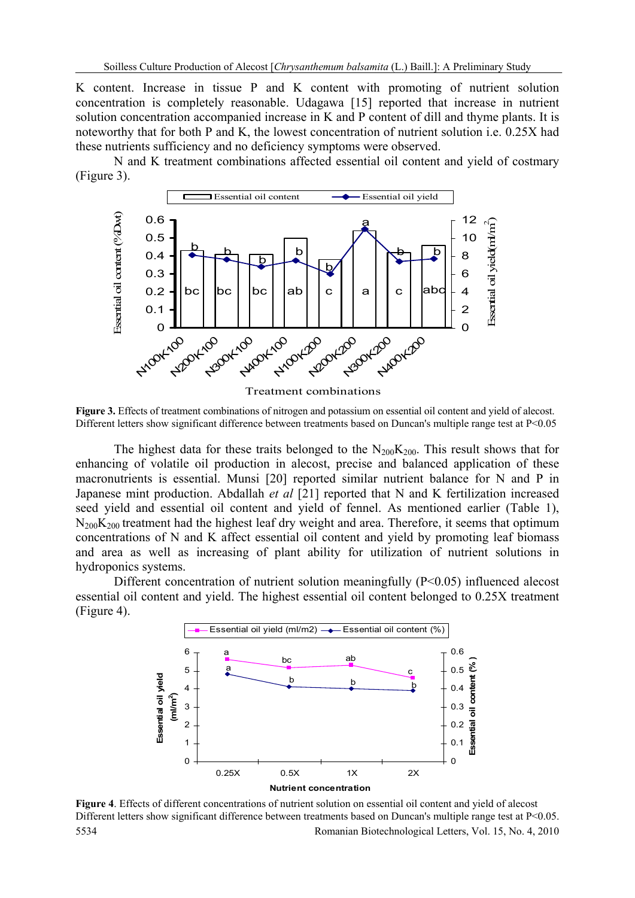K content. Increase in tissue P and K content with promoting of nutrient solution concentration is completely reasonable. Udagawa [15] reported that increase in nutrient solution concentration accompanied increase in K and P content of dill and thyme plants. It is noteworthy that for both P and K, the lowest concentration of nutrient solution i.e. 0.25X had these nutrients sufficiency and no deficiency symptoms were observed.

N and K treatment combinations affected essential oil content and yield of costmary (Figure 3).



Treatment combinations

**Figure 3.** Effects of treatment combinations of nitrogen and potassium on essential oil content and yield of alecost. Different letters show significant difference between treatments based on Duncan's multiple range test at P<0.05

The highest data for these traits belonged to the  $N_{200}K_{200}$ . This result shows that for enhancing of volatile oil production in alecost, precise and balanced application of these macronutrients is essential. Munsi [20] reported similar nutrient balance for N and P in Japanese mint production. Abdallah *et al* [21] reported that N and K fertilization increased seed yield and essential oil content and yield of fennel. As mentioned earlier (Table 1),  $N_{200}K_{200}$  treatment had the highest leaf dry weight and area. Therefore, it seems that optimum concentrations of N and K affect essential oil content and yield by promoting leaf biomass and area as well as increasing of plant ability for utilization of nutrient solutions in hydroponics systems.

Different concentration of nutrient solution meaningfully (P<0.05) influenced alecost essential oil content and yield. The highest essential oil content belonged to 0.25X treatment (Figure 4).



5534 Romanian Biotechnological Letters, Vol. 15, No. 4, 2010 **Figure 4**. Effects of different concentrations of nutrient solution on essential oil content and yield of alecost Different letters show significant difference between treatments based on Duncan's multiple range test at P<0.05.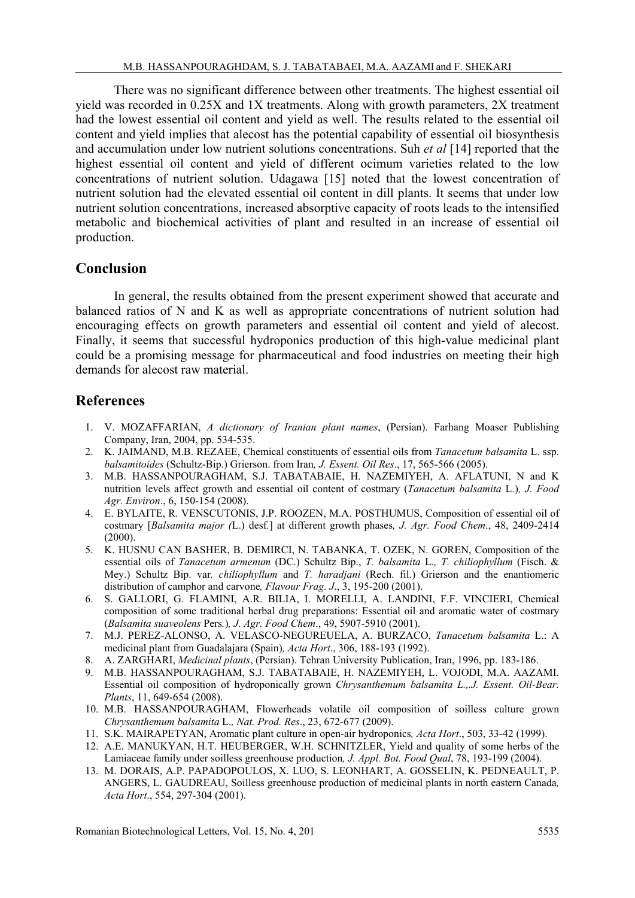There was no significant difference between other treatments. The highest essential oil yield was recorded in 0.25X and 1X treatments. Along with growth parameters, 2X treatment had the lowest essential oil content and yield as well. The results related to the essential oil content and yield implies that alecost has the potential capability of essential oil biosynthesis and accumulation under low nutrient solutions concentrations. Suh *et al* [14] reported that the highest essential oil content and yield of different ocimum varieties related to the low concentrations of nutrient solution. Udagawa [15] noted that the lowest concentration of nutrient solution had the elevated essential oil content in dill plants. It seems that under low nutrient solution concentrations, increased absorptive capacity of roots leads to the intensified metabolic and biochemical activities of plant and resulted in an increase of essential oil production.

#### **Conclusion**

In general, the results obtained from the present experiment showed that accurate and balanced ratios of N and K as well as appropriate concentrations of nutrient solution had encouraging effects on growth parameters and essential oil content and yield of alecost. Finally, it seems that successful hydroponics production of this high-value medicinal plant could be a promising message for pharmaceutical and food industries on meeting their high demands for alecost raw material.

## **References**

- 1. V. MOZAFFARIAN, *A dictionary of Iranian plant names*, (Persian). Farhang Moaser Publishing Company, Iran, 2004, pp. 534-535.
- 2. K. JAIMAND, M.B. REZAEE, Chemical constituents of essential oils from *Tanacetum balsamita* L. ssp. *balsamitoides* (Schultz-Bip.) Grierson. from Iran*, J. Essent. Oil Res*., 17, 565-566 (2005).
- 3. M.B. HASSANPOURAGHAM, S.J. TABATABAIE, H. NAZEMIYEH, A. AFLATUNI, N and K nutrition levels affect growth and essential oil content of costmary (*Tanacetum balsamita* L.)*, J. Food Agr. Environ*., 6, 150-154 (2008).
- 4. E. BYLAITE, R. VENSCUTONIS, J.P. ROOZEN, M.A. POSTHUMUS, Composition of essential oil of costmary [*Balsamita major (*L.) desf*.*] at different growth phases*, J. Agr. Food Chem*., 48, 2409-2414 (2000).
- 5. K. HUSNU CAN BASHER, B. DEMIRCI, N. TABANKA, T. OZEK, N. GOREN, Composition of the essential oils of *Tanacetum armenum* (DC.) Schultz Bip., *T. balsamita* L*., T. chiliophyllum* (Fisch. & Mey.) Schultz Bip. var*. chiliophyllum* and *T. haradjani* (Rech. fil.) Grierson and the enantiomeric distribution of camphor and carvone*, Flavour Frag. J*., 3, 195-200 (2001).
- 6. S. GALLORI, G. FLAMINI, A.R. BILIA, I. MORELLI, A. LANDINI, F.F. VINCIERI, Chemical composition of some traditional herbal drug preparations: Essential oil and aromatic water of costmary (*Balsamita suaveolens* Pers*.*)*, J. Agr. Food Chem*., 49, 5907-5910 (2001).
- 7. M.J. PEREZ-ALONSO, A. VELASCO-NEGUREUELA, A. BURZACO, *Tanacetum balsamita* L.: A medicinal plant from Guadalajara (Spain)*, Acta Hort*., 306, 188-193 (1992).
- 8. A. ZARGHARI, *Medicinal plants*, (Persian). Tehran University Publication, Iran, 1996, pp. 183-186.
- 9. M.B. HASSANPOURAGHAM, S.J. TABATABAIE, H. NAZEMIYEH, L. VOJODI, M.A. AAZAMI. Essential oil composition of hydroponically grown *Chrysanthemum balsamita L.,.J. Essent. Oil-Bear. Plants*, 11, 649-654 (2008).
- 10. M.B. HASSANPOURAGHAM, Flowerheads volatile oil composition of soilless culture grown *Chrysanthemum balsamita* L.*, Nat. Prod. Res*., 23, 672-677 (2009).
- 11. S.K. MAIRAPETYAN, Aromatic plant culture in open-air hydroponics*, Acta Hort*., 503, 33-42 (1999).
- 12. A.E. MANUKYAN, H.T. HEUBERGER, W.H. SCHNITZLER, Yield and quality of some herbs of the Lamiaceae family under soilless greenhouse production*, J. Appl. Bot. Food Qual*, 78, 193-199 (2004).
- 13. M. DORAIS, A.P. PAPADOPOULOS, X. LUO, S. LEONHART, A. GOSSELIN, K. PEDNEAULT, P. ANGERS, L. GAUDREAU, Soilless greenhouse production of medicinal plants in north eastern Canada*, Acta Hort*., 554, 297-304 (2001).